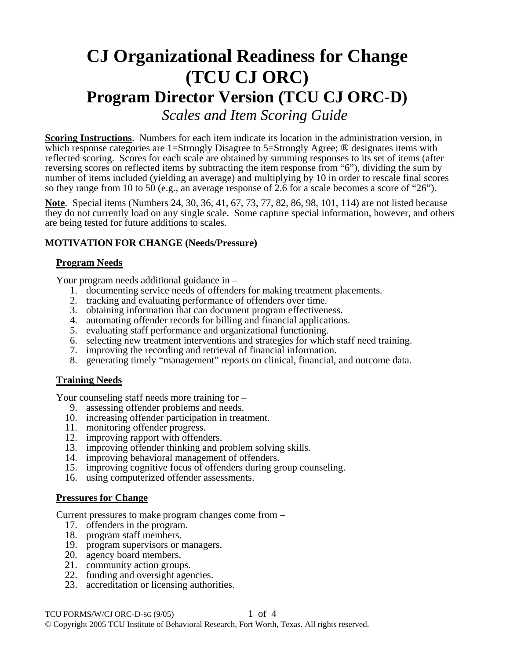# **CJ Organizational Readiness for Change (TCU CJ ORC) Program Director Version (TCU CJ ORC-D)**  *Scales and Item Scoring Guide*

**Scoring Instructions**. Numbers for each item indicate its location in the administration version, in which response categories are 1=Strongly Disagree to 5=Strongly Agree; <sup>®</sup> designates items with reflected scoring. Scores for each scale are obtained by summing responses to its set of items (after reversing scores on reflected items by subtracting the item response from "6"), dividing the sum by number of items included (yielding an average) and multiplying by 10 in order to rescale final scores so they range from 10 to 50 (e.g., an average response of 2.6 for a scale becomes a score of "26").

**Note**. Special items (Numbers 24, 30, 36, 41, 67, 73, 77, 82, 86, 98, 101, 114) are not listed because they do not currently load on any single scale. Some capture special information, however, and others are being tested for future additions to scales.

# **MOTIVATION FOR CHANGE (Needs/Pressure)**

#### **Program Needs**

Your program needs additional guidance in –

- 1. documenting service needs of offenders for making treatment placements.
- 2. tracking and evaluating performance of offenders over time.
- 3. obtaining information that can document program effectiveness.
- 4. automating offender records for billing and financial applications.
- 5. evaluating staff performance and organizational functioning.
- 6. selecting new treatment interventions and strategies for which staff need training.
- 7. improving the recording and retrieval of financial information.
- 8. generating timely "management" reports on clinical, financial, and outcome data.

#### **Training Needs**

Your counseling staff needs more training for –

- 9. assessing offender problems and needs.
- 10. increasing offender participation in treatment.
- 11. monitoring offender progress.
- 12. improving rapport with offenders.
- 13. improving offender thinking and problem solving skills.
- 14. improving behavioral management of offenders.
- 15. improving cognitive focus of offenders during group counseling.
- 16. using computerized offender assessments.

#### **Pressures for Change**

Current pressures to make program changes come from –

- 17. offenders in the program.
- 18. program staff members.
- 19. program supervisors or managers.
- 20. agency board members.
- 21. community action groups.
- 22. funding and oversight agencies.
- 23. accreditation or licensing authorities.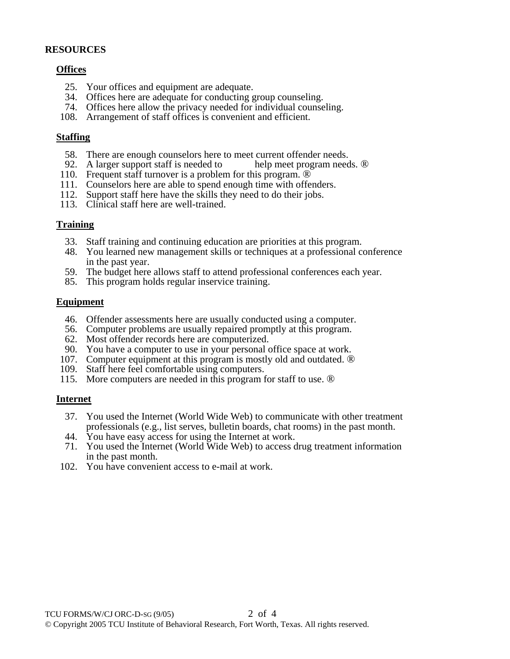## **RESOURCES**

## **Offices**

- 25. Your offices and equipment are adequate.
- 34. Offices here are adequate for conducting group counseling.
- 74. Offices here allow the privacy needed for individual counseling.
- 108. Arrangement of staff offices is convenient and efficient.

#### **Staffing**

- 58. There are enough counselors here to meet current offender needs.
- 92. A larger support staff is needed to help meet program needs.  $\circledR$
- 110. Frequent staff turnover is a problem for this program.  $\overline{\mathbb{D}}$
- 111. Counselors here are able to spend enough time with offenders.
- 112. Support staff here have the skills they need to do their jobs.
- 113. Clinical staff here are well-trained.

#### **Training**

- 33. Staff training and continuing education are priorities at this program.
- 48. You learned new management skills or techniques at a professional conference in the past year.
- 59. The budget here allows staff to attend professional conferences each year.
- 85. This program holds regular inservice training.

#### **Equipment**

- 46. Offender assessments here are usually conducted using a computer.
- 56. Computer problems are usually repaired promptly at this program.
- 62. Most offender records here are computerized.
- 90. You have a computer to use in your personal office space at work.
- 107. Computer equipment at this program is mostly old and outdated. ®
- 109. Staff here feel comfortable using computers.
- 115. More computers are needed in this program for staff to use. ®

#### **Internet**

- 37. You used the Internet (World Wide Web) to communicate with other treatment professionals (e.g., list serves, bulletin boards, chat rooms) in the past month.
- 44. You have easy access for using the Internet at work.
- 71. You used the Internet (World Wide Web) to access drug treatment information in the past month.
- 102. You have convenient access to e-mail at work.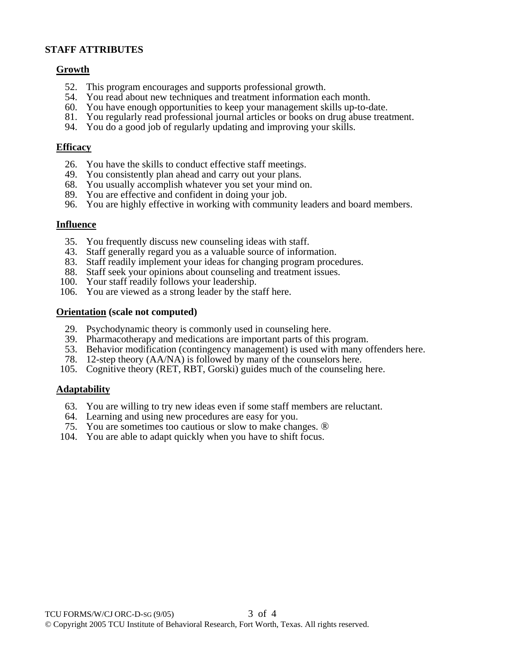# **STAFF ATTRIBUTES**

## **Growth**

- 52. This program encourages and supports professional growth.
- 54. You read about new techniques and treatment information each month.
- 60. You have enough opportunities to keep your management skills up-to-date.
- 81. You regularly read professional journal articles or books on drug abuse treatment.
- 94. You do a good job of regularly updating and improving your skills.

## **Efficacy**

- 26. You have the skills to conduct effective staff meetings.
- 49. You consistently plan ahead and carry out your plans.
- 68. You usually accomplish whatever you set your mind on.
- 89. You are effective and confident in doing your job.
- 96. You are highly effective in working with community leaders and board members.

## **Influence**

- 35. You frequently discuss new counseling ideas with staff.
- 43. Staff generally regard you as a valuable source of information.
- 83. Staff readily implement your ideas for changing program procedures.
- 88. Staff seek your opinions about counseling and treatment issues.
- 100. Your staff readily follows your leadership.
- 106. You are viewed as a strong leader by the staff here.

## **Orientation (scale not computed)**

- 29. Psychodynamic theory is commonly used in counseling here.
- 39. Pharmacotherapy and medications are important parts of this program.
- 53. Behavior modification (contingency management) is used with many offenders here.
- 78. 12-step theory (AA/NA) is followed by many of the counselors here.
- 105. Cognitive theory (RET, RBT, Gorski) guides much of the counseling here.

# **Adaptability**

- 63. You are willing to try new ideas even if some staff members are reluctant.
- 64. Learning and using new procedures are easy for you.
- 75. You are sometimes too cautious or slow to make changes. ®
- 104. You are able to adapt quickly when you have to shift focus.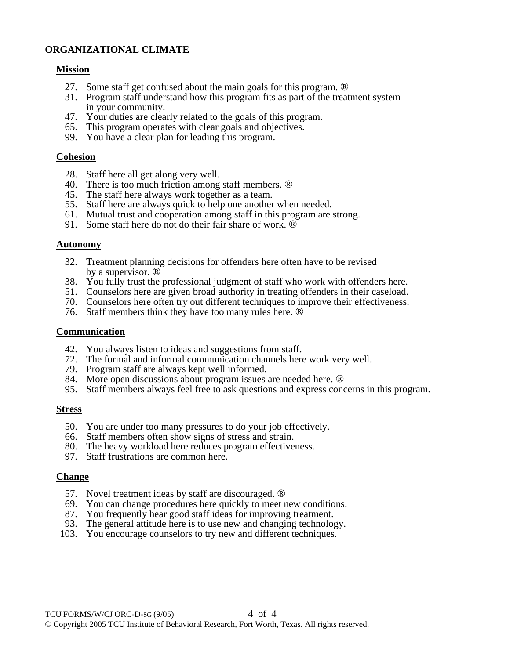# **ORGANIZATIONAL CLIMATE**

## **Mission**

- 27. Some staff get confused about the main goals for this program. ®
- 31. Program staff understand how this program fits as part of the treatment system in your community.
- 47. Your duties are clearly related to the goals of this program.
- 65. This program operates with clear goals and objectives.
- 99. You have a clear plan for leading this program.

## **Cohesion**

- 28. Staff here all get along very well.
- 40. There is too much friction among staff members. ®
- 45. The staff here always work together as a team.
- 55. Staff here are always quick to help one another when needed.
- 61. Mutual trust and cooperation among staff in this program are strong.
- 91. Some staff here do not do their fair share of work. ®

## **Autonomy**

- 32. Treatment planning decisions for offenders here often have to be revised by a supervisor. ®
- 38. You fully trust the professional judgment of staff who work with offenders here.
- 51. Counselors here are given broad authority in treating offenders in their caseload.
- 70. Counselors here often try out different techniques to improve their effectiveness.
- 76. Staff members think they have too many rules here. ®

#### **Communication**

- 42. You always listen to ideas and suggestions from staff.
- 72. The formal and informal communication channels here work very well.
- 79. Program staff are always kept well informed.
- 84. More open discussions about program issues are needed here. ®
- 95. Staff members always feel free to ask questions and express concerns in this program.

#### **Stress**

- 50. You are under too many pressures to do your job effectively.
- 66. Staff members often show signs of stress and strain.
- 80. The heavy workload here reduces program effectiveness.
- 97. Staff frustrations are common here.

# **Change**

- 57. Novel treatment ideas by staff are discouraged. ®
- 69. You can change procedures here quickly to meet new conditions.
- 87. You frequently hear good staff ideas for improving treatment.
- 93. The general attitude here is to use new and changing technology.
- 103. You encourage counselors to try new and different techniques.